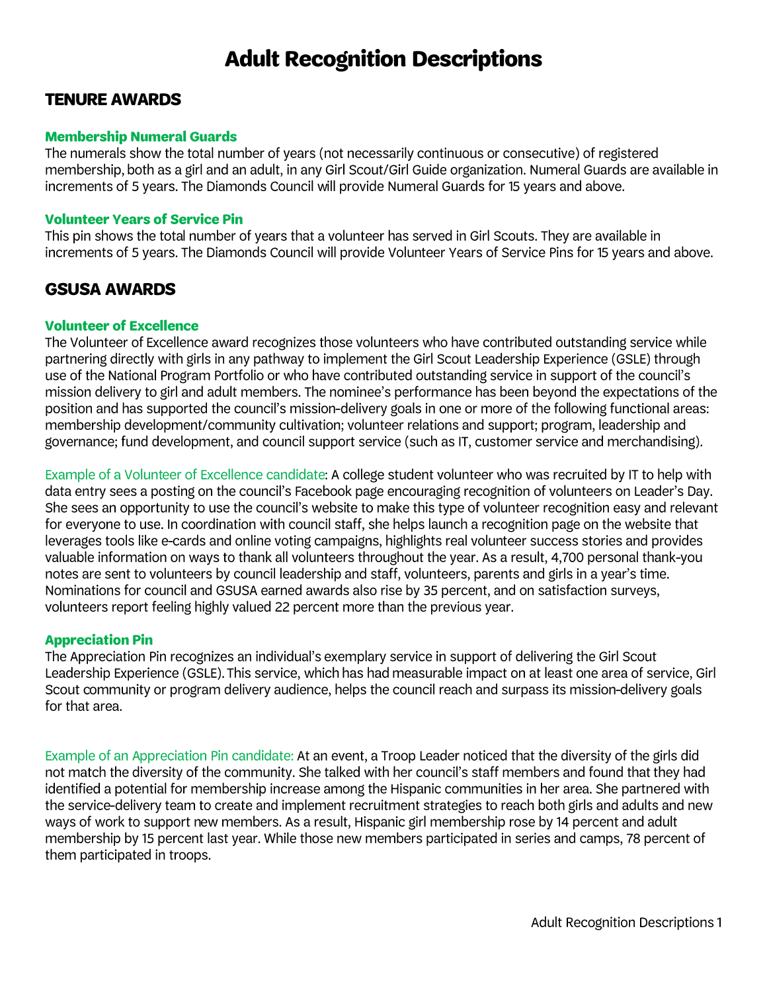# **Adult Recognition Descriptions**

## **TENURE AWARDS**

## **Membership Numeral Guards**

The numerals show the total number of years (not necessarily continuous or consecutive) of registered membership, both as a girl and an adult, in any Girl Scout/Girl Guide organization. Numeral Guards are available in increments of 5 years. The Diamonds Council will provide Numeral Guards for 15 years and above.

## **Volunteer Years of Service Pin**

This pin shows the total number of years that a volunteer has served in Girl Scouts. They are available in increments of 5 years. The Diamonds Council will provide Volunteer Years of Service Pins for 15 years and above.

# **GSUSA AWARDS**

## **Volunteer of Excellence**

The Volunteer of Excellence award recognizes those volunteers who have contributed outstanding service while partnering directly with girls in any pathway to implement the Girl Scout Leadership Experience (GSLE) through use of the National Program Portfolio or who have contributed outstanding service in support of the council's mission delivery to girl and adult members. The nominee's performance has been beyond the expectations of the position and has supported the council's mission-delivery goals in one or more of the following functional areas: membership development/community cultivation; volunteer relations and support; program, leadership and governance; fund development, and council support service (such as IT, customer service and merchandising).

Example of a Volunteer of Excellence candidate: A college student volunteer who was recruited by IT to help with data entry sees a posting on the council's Facebook page encouraging recognition of volunteers on Leader's Day. She sees an opportunity to use the council's website to make this type of volunteer recognition easy and relevant for everyone to use. In coordination with council staff, she helps launch a recognition page on the website that leverages tools like e-cards and online voting campaigns, highlights real volunteer success stories and provides valuable information on ways to thank all volunteers throughout the year. As a result, 4,700 personal thank-you notes are sent to volunteers by council leadership and staff, volunteers, parents and girls in a year's time. Nominations for council and GSUSA earned awards also rise by 35 percent, and on satisfaction surveys, volunteers report feeling highly valued 22 percent more than the previous year.

## **Appreciation Pin**

The Appreciation Pin recognizes an individual's exemplary service in support of delivering the Girl Scout Leadership Experience (GSLE). This service, which has had measurable impact on at least one area of service, Girl Scout community or program delivery audience, helps the council reach and surpass its mission-delivery goals for that area.

Example of an Appreciation Pin candidate: At an event, a Troop Leader noticed that the diversity of the girls did not match the diversity of the community. She talked with her council's staff members and found that they had identified a potential for membership increase among the Hispanic communities in her area. She partnered with the service-delivery team to create and implement recruitment strategies to reach both girls and adults and new ways of work to support new members. As a result, Hispanic girl membership rose by 14 percent and adult membership by 15 percent last year. While those new members participated in series and camps, 78 percent of them participated in troops.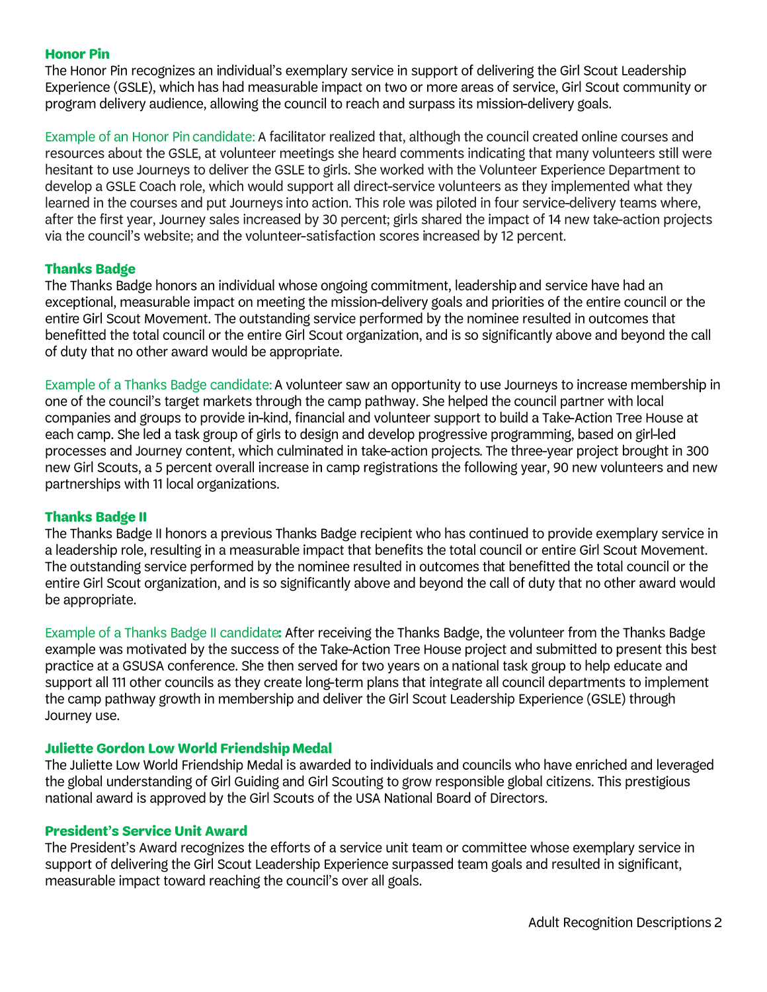#### **Honor Pin**

The Honor Pin recognizes an individual's exemplary service in support of delivering the Girl Scout Leadership Experience (GSLE), which has had measurable impact on two or more areas of service, Girl Scout community or program delivery audience, allowing the council to reach and surpass its mission-delivery goals.

Example of an Honor Pin candidate: A facilitator realized that, although the council created online courses and resources about the GSLE, at volunteer meetings she heard comments indicating that many volunteers still were hesitant to use Journeys to deliver the GSLE to girls. She worked with the Volunteer Experience Department to develop a GSLE Coach role, which would support all direct-service volunteers as they implemented what they learned in the courses and put Journeys into action. This role was piloted in four service-delivery teams where, after the first year, Journey sales increased by 30 percent; girls shared the impact of 14 new take-action projects via the council's website; and the volunteer-satisfaction scores increased by 12 percent.

## **Thanks Badge**

The Thanks Badge honors an individual whose ongoing commitment, leadership and service have had an exceptional, measurable impact on meeting the mission-delivery goals and priorities of the entire council or the entire Girl Scout Movement. The outstanding service performed by the nominee resulted in outcomes that benefitted the total council or the entire Girl Scout organization, and is so significantly above and beyond the call of duty that no other award would be appropriate.

Example of a Thanks Badge candidate: A volunteer saw an opportunity to use Journeys to increase membership in one of the council's target markets through the camp pathway. She helped the council partner with local companies and groups to provide in-kind, financial and volunteer support to build a Take-Action Tree House at each camp. She led a task group of girls to design and develop progressive programming, based on girl-led processes and Journey content, which culminated in take-action projects. The three-year project brought in 300 new Girl Scouts, a 5 percent overall increase in camp registrations the following year, 90 new volunteers and new partnerships with 11 local organizations.

## **Thanks Badge II**

The Thanks Badge II honors a previous Thanks Badge recipient who has continued to provide exemplary service in a leadership role, resulting in a measurable impact that benefits the total council or entire Girl Scout Movement. The outstanding service performed by the nominee resulted in outcomes that benefitted the total council or the entire Girl Scout organization, and is so significantly above and beyond the call of duty that no other award would be appropriate.

Example of a Thanks Badge II candidate: After receiving the Thanks Badge, the volunteer from the Thanks Badge example was motivated by the success of the Take-Action Tree House project and submitted to present this best practice at a GSUSA conference. She then served for two years on a national task group to help educate and support all 111 other councils as they create long-term plans that integrate all council departments to implement the camp pathway growth in membership and deliver the Girl Scout Leadership Experience (GSLE) through Journey use.

#### **Juliette Gordon Low World Friendship Medal**

The Juliette Low World Friendship Medal is awarded to individuals and councils who have enriched and leveraged the global understanding of Girl Guiding and Girl Scouting to grow responsible global citizens. This prestigious national award is approved by the Girl Scouts of the USA National Board of Directors.

#### **President's Service Unit Award**

The President's Award recognizes the efforts of a service unit team or committee whose exemplary service in support of delivering the Girl Scout Leadership Experience surpassed team goals and resulted in significant, measurable impact toward reaching the council's over all goals.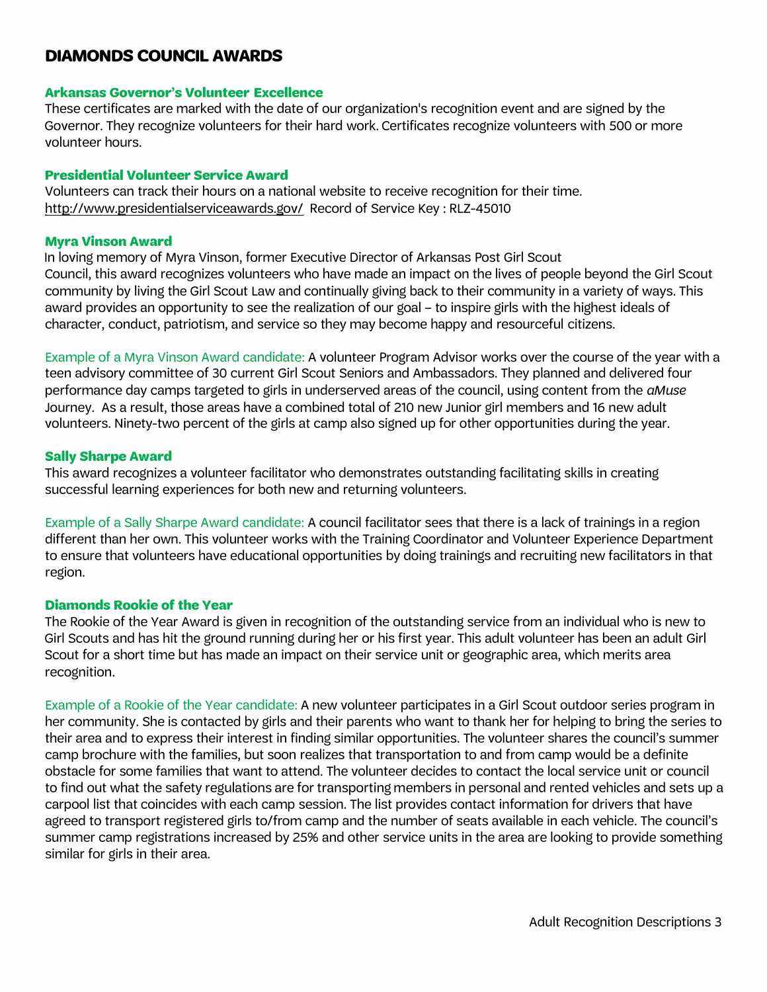# **DIAMONDS COUNCIL AWARDS**

#### **Arkansas Governor's Volunteer Excellence**

These certificates are marked with the date of our organization's recognition event and are signed by the Governor. They recognize volunteers for their hard work. Certificates recognize volunteers with 500 or more volunteer hours.

#### **Presidential Volunteer Service Award**

Volunteers can track their hours on a national website to receive recognition for their time. <http://www.presidentialserviceawards.gov/> Record of Service Key : RLZ-45010

#### **Myra Vinson Award**

In loving memory of Myra Vinson, former Executive Director of Arkansas Post Girl Scout Council, this award recognizes volunteers who have made an impact on the lives of people beyond the Girl Scout community by living the Girl Scout Law and continually giving back to their community in a variety of ways. This award provides an opportunity to see the realization of our goal – to inspire girls with the highest ideals of character, conduct, patriotism, and service so they may become happy and resourceful citizens.

Example of a Myra Vinson Award candidate: A volunteer Program Advisor works over the course of the year with a teen advisory committee of 30 current Girl Scout Seniors and Ambassadors. They planned and delivered four performance day camps targeted to girls in underserved areas of the council, using content from the *aMuse*  Journey. As a result, those areas have a combined total of 210 new Junior girl members and 16 new adult volunteers. Ninety-two percent of the girls at camp also signed up for other opportunities during the year.

#### **Sally Sharpe Award**

This award recognizes a volunteer facilitator who demonstrates outstanding facilitating skills in creating successful learning experiences for both new and returning volunteers.

Example of a Sally Sharpe Award candidate: A council facilitator sees that there is a lack of trainings in a region different than her own. This volunteer works with the Training Coordinator and Volunteer Experience Department to ensure that volunteers have educational opportunities by doing trainings and recruiting new facilitators in that region.

#### **Diamonds Rookie of the Vear**

The Rookie of the Vear Award is given in recognition of the outstanding service from an individual who is new to Girl Scouts and has hit the ground running during her or his first year. This adult volunteer has been an adult Girl Scout for a short time but has made an impact on their service unit or geographic area, which merits area recognition.

Example of a Rookie of the Vear candidate: A new volunteer participates in a Girl Scout outdoor series program in her community. She is contacted by girls and their parents who want to thank her for helping to bring the series to their area and to express their interest in finding similar opportunities. The volunteer shares the council's summer camp brochure with the families, but soon realizes that transportation to and from camp would be a definite obstacle for some families that want to attend. The volunteer decides to contact the local service unit or council to find out what the safety regulations are for transporting members in personal and rented vehicles and sets up a carpool list that coincides with each camp session. The list provides contact information for drivers that have agreed to transport registered girls to/from camp and the number of seats available in each vehicle. The council's summer camp registrations increased by 25% and other service units in the area are looking to provide something similar for girls in their area.